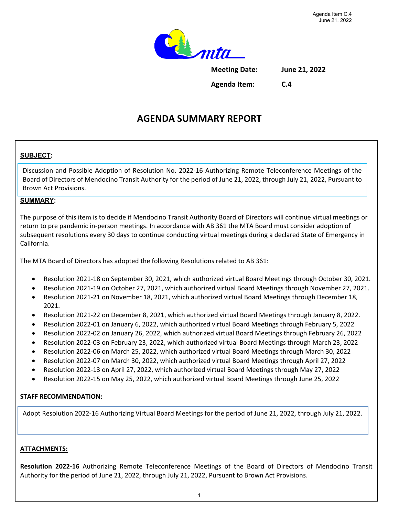

**Meeting Date: June 21, 2022**

**Agenda Item: C.4**

# **AGENDA SUMMARY REPORT**

### **SUBJECT:**

Discussion and Possible Adoption of Resolution No. 2022-16 Authorizing Remote Teleconference Meetings of the Board of Directors of Mendocino Transit Authority for the period of June 21, 2022, through July 21, 2022, Pursuant to Brown Act Provisions.

#### **SUMMARY:**

The purpose of this item is to decide if Mendocino Transit Authority Board of Directors will continue virtual meetings or return to pre pandemic in-person meetings. In accordance with AB 361 the MTA Board must consider adoption of subsequent resolutions every 30 days to continue conducting virtual meetings during a declared State of Emergency in California.

The MTA Board of Directors has adopted the following Resolutions related to AB 361:

- Resolution 2021-18 on September 30, 2021, which authorized virtual Board Meetings through October 30, 2021.
- Resolution 2021-19 on October 27, 2021, which authorized virtual Board Meetings through November 27, 2021.
- Resolution 2021-21 on November 18, 2021, which authorized virtual Board Meetings through December 18, 2021.
- Resolution 2021-22 on December 8, 2021, which authorized virtual Board Meetings through January 8, 2022.
- Resolution 2022-01 on January 6, 2022, which authorized virtual Board Meetings through February 5, 2022
- Resolution 2022-02 on January 26, 2022, which authorized virtual Board Meetings through February 26, 2022
- Resolution 2022-03 on February 23, 2022, which authorized virtual Board Meetings through March 23, 2022
- Resolution 2022-06 on March 25, 2022, which authorized virtual Board Meetings through March 30, 2022
- Resolution 2022-07 on March 30, 2022, which authorized virtual Board Meetings through April 27, 2022
- Resolution 2022-13 on April 27, 2022, which authorized virtual Board Meetings through May 27, 2022
- Resolution 2022-15 on May 25, 2022, which authorized virtual Board Meetings through June 25, 2022

#### **STAFF RECOMMENDATION:**

Adopt Resolution 2022-16 Authorizing Virtual Board Meetings for the period of June 21, 2022, through July 21, 2022.

#### **ATTACHMENTS:**

**Resolution 2022-16** Authorizing Remote Teleconference Meetings of the Board of Directors of Mendocino Transit Authority for the period of June 21, 2022, through July 21, 2022, Pursuant to Brown Act Provisions.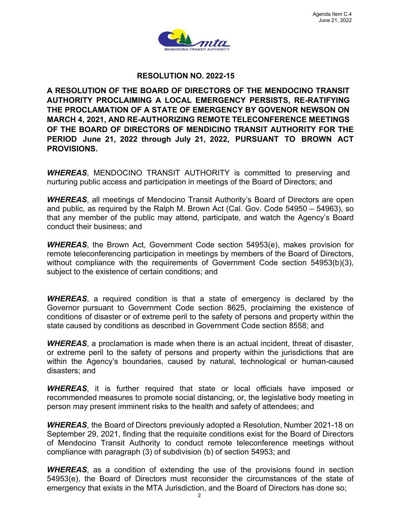

#### **RESOLUTION NO. 2022-15**

**A RESOLUTION OF THE BOARD OF DIRECTORS OF THE MENDOCINO TRANSIT AUTHORITY PROCLAIMING A LOCAL EMERGENCY PERSISTS, RE-RATIFYING THE PROCLAMATION OF A STATE OF EMERGENCY BY GOVENOR NEWSON ON MARCH 4, 2021, AND RE-AUTHORIZING REMOTE TELECONFERENCE MEETINGS OF THE BOARD OF DIRECTORS OF MENDICINO TRANSIT AUTHORITY FOR THE PERIOD June 21, 2022 through July 21, 2022, PURSUANT TO BROWN ACT PROVISIONS.** 

*WHEREAS*, MENDOCINO TRANSIT AUTHORITY is committed to preserving and nurturing public access and participation in meetings of the Board of Directors; and

*WHEREAS*, all meetings of Mendocino Transit Authority's Board of Directors are open and public, as required by the Ralph M. Brown Act (Cal. Gov. Code 54950 – 54963), so that any member of the public may attend, participate, and watch the Agency's Board conduct their business; and

*WHEREAS*, the Brown Act, Government Code section 54953(e), makes provision for remote teleconferencing participation in meetings by members of the Board of Directors, without compliance with the requirements of Government Code section 54953(b)(3), subject to the existence of certain conditions; and

*WHEREAS*, a required condition is that a state of emergency is declared by the Governor pursuant to Government Code section 8625, proclaiming the existence of conditions of disaster or of extreme peril to the safety of persons and property within the state caused by conditions as described in Government Code section 8558; and

*WHEREAS*, a proclamation is made when there is an actual incident, threat of disaster, or extreme peril to the safety of persons and property within the jurisdictions that are within the Agency's boundaries, caused by natural, technological or human-caused disasters; and

*WHEREAS*, it is further required that state or local officials have imposed or recommended measures to promote social distancing, or, the legislative body meeting in person may present imminent risks to the health and safety of attendees; and

*WHEREAS*, the Board of Directors previously adopted a Resolution, Number 2021-18 on September 29, 2021, finding that the requisite conditions exist for the Board of Directors of Mendocino Transit Authority to conduct remote teleconference meetings without compliance with paragraph (3) of subdivision (b) of section 54953; and

*WHEREAS*, as a condition of extending the use of the provisions found in section 54953(e), the Board of Directors must reconsider the circumstances of the state of emergency that exists in the MTA Jurisdiction, and the Board of Directors has done so;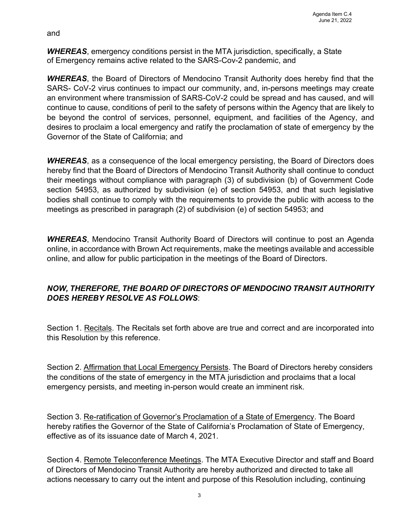and

*WHEREAS*, emergency conditions persist in the MTA jurisdiction, specifically, a State of Emergency remains active related to the SARS-Cov-2 pandemic, and

*WHEREAS*, the Board of Directors of Mendocino Transit Authority does hereby find that the SARS- CoV-2 virus continues to impact our community, and, in-persons meetings may create an environment where transmission of SARS-CoV-2 could be spread and has caused, and will continue to cause, conditions of peril to the safety of persons within the Agency that are likely to be beyond the control of services, personnel, equipment, and facilities of the Agency, and desires to proclaim a local emergency and ratify the proclamation of state of emergency by the Governor of the State of California; and

*WHEREAS*, as a consequence of the local emergency persisting, the Board of Directors does hereby find that the Board of Directors of Mendocino Transit Authority shall continue to conduct their meetings without compliance with paragraph (3) of subdivision (b) of Government Code section 54953, as authorized by subdivision (e) of section 54953, and that such legislative bodies shall continue to comply with the requirements to provide the public with access to the meetings as prescribed in paragraph (2) of subdivision (e) of section 54953; and

*WHEREAS*, Mendocino Transit Authority Board of Directors will continue to post an Agenda online, in accordance with Brown Act requirements, make the meetings available and accessible online, and allow for public participation in the meetings of the Board of Directors.

## *NOW, THEREFORE, THE BOARD OF DIRECTORS OF MENDOCINO TRANSIT AUTHORITY DOES HEREBY RESOLVE AS FOLLOWS*:

Section 1. Recitals. The Recitals set forth above are true and correct and are incorporated into this Resolution by this reference.

Section 2. Affirmation that Local Emergency Persists. The Board of Directors hereby considers the conditions of the state of emergency in the MTA jurisdiction and proclaims that a local emergency persists, and meeting in-person would create an imminent risk.

Section 3. Re-ratification of Governor's Proclamation of a State of Emergency. The Board hereby ratifies the Governor of the State of California's Proclamation of State of Emergency, effective as of its issuance date of March 4, 2021.

Section 4. Remote Teleconference Meetings. The MTA Executive Director and staff and Board of Directors of Mendocino Transit Authority are hereby authorized and directed to take all actions necessary to carry out the intent and purpose of this Resolution including, continuing